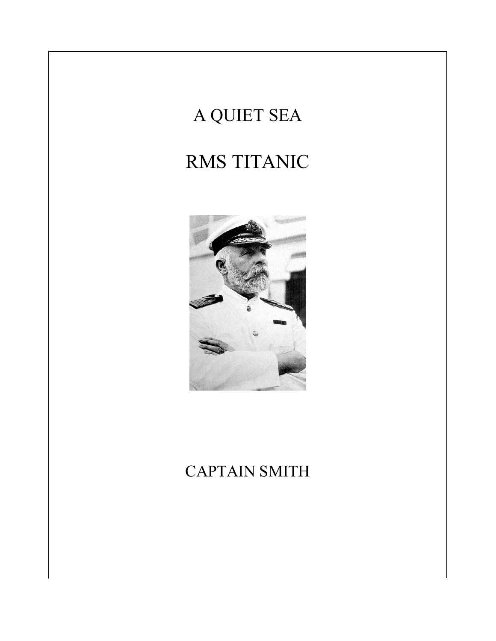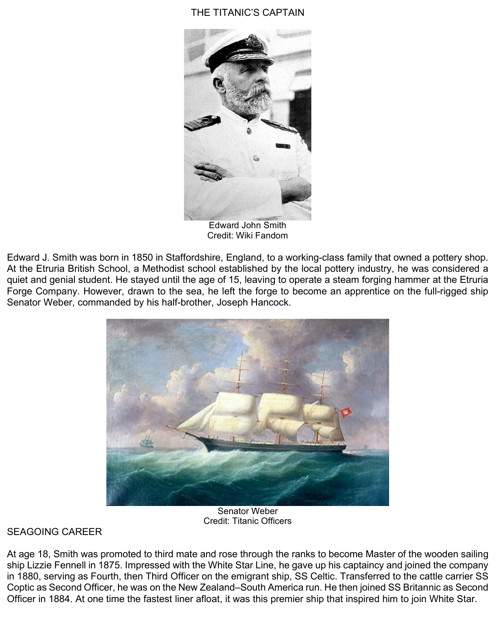## THE TITANIC'S CAPTAIN



Edward John Smith Credit: Wiki Fandom

Edward J. Smith was born in 1850 in [Staffordshire,](about:blank) England, to a working-class family that owned a pottery shop. At the Etruria British School, a Methodist school established by the local pottery industry, he was considered a quiet and genial student. He stayed until the age of 15, leaving to operate a steam forging hammer at the Etruria Forge Company. However, drawn to the sea, he left the forge to become an apprentice on the full-rigged ship Senator Weber, commanded by his half-brother, Joseph Hancock.



Senator Weber Credit: Titanic Officers

## SEAGOING CAREER

At age 18, Smith was promoted to third mate and rose through the ranks to become Master of the wooden sailing ship Lizzie Fennell in 1875. Impressed with the White Star Line, he gave up his captaincy and joined the company in 1880, serving as Fourth, then Third Officer on the emigrant ship, SS Celtic. Transferred to the cattle carrier SS Coptic as Second Officer, he was on the New Zealand–South America run. He then joined SS Britannic as Second Officer in 1884. At one time the fastest liner afloat, it was this premier ship that inspired him to join White Star.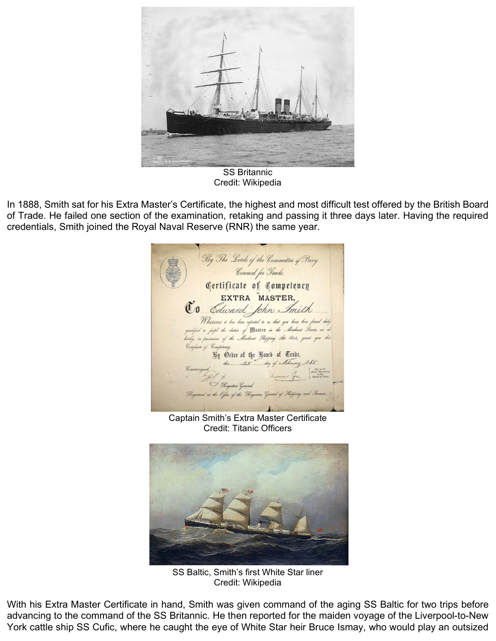

SS Britannic Credit: Wikipedia

In 1888, Smith sat for his Extra Master's Certificate, the highest and most difficult test offered by the British Board of Trade. He failed one section of the examination, retaking and passing it three days later. Having the required credentials, Smith joined the Royal Naval Reserve (RNR) the same year.

| By The Lords of the Committee of Privy                                                              |
|-----------------------------------------------------------------------------------------------------|
| Council for Trade.                                                                                  |
| Certificate of Competency                                                                           |
| EXTRA MASTER,                                                                                       |
| Co Edward John Imith                                                                                |
| Whereas it has been reported to us that you have been found duly                                    |
| qualified to fulfil the duties of Master in the Merchant Service, we do                             |
| hereby, in pursuance of the Merchant Shipping Act 1854, grant you this                              |
| Certificate of Competency.                                                                          |
| By Order of the Board of Trade,                                                                     |
| day of February BSS.<br>this $25$                                                                   |
| Ceantersigned,<br>One of the<br><b>Auist Secretaries</b><br>momar frag<br>to the<br>Board of Trole. |
| Pergistrar General.                                                                                 |
| . Pergistered at the Office of the Pergistias General of Shipping and Seamen.                       |
|                                                                                                     |

Captain Smith's Extra Master Certificate Credit: Titanic Officers



SS Baltic, Smith's first White Star liner Credit: Wikipedia

With his Extra Master Certificate in hand, Smith was given command of the aging SS Baltic for two trips before advancing to the command of the SS Britannic. He then reported for the maiden voyage of the Liverpool-to-New York cattle ship SS Cufic, where he caught the eye of White Star heir Bruce Ismay, who would play an outsized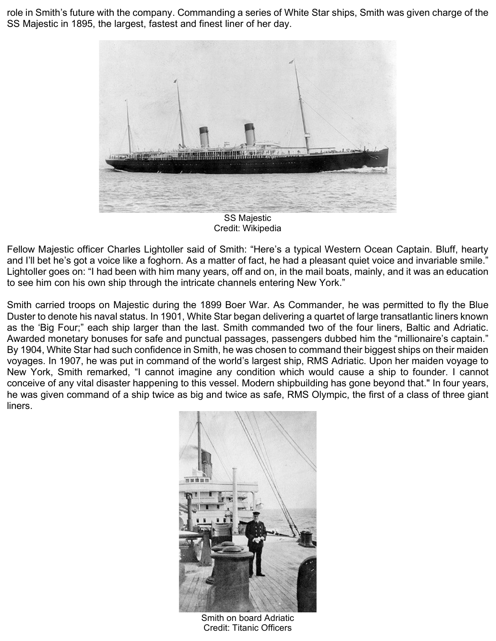role in Smith's future with the company. Commanding a series of White Star ships, Smith was given charge of the SS Majestic in 1895, the largest, fastest and finest liner of her day.



SS Majestic Credit: Wikipedia

Fellow Majestic officer Charles Lightoller said of Smith: "Here's a typical Western Ocean Captain. Bluff, hearty and I'll bet he's got a voice like a foghorn. As a matter of fact, he had a pleasant quiet voice and invariable smile." Lightoller goes on: "I had been with him many years, off and on, in the mail boats, mainly, and it was an education to see him con his own ship through the intricate channels entering New York."

Smith carried troops on Majestic during the 1899 Boer War. As Commander, he was permitted to fly the Blue Duster to denote his naval status. In 1901, White Star began delivering a quartet of large transatlantic liners known as the 'Big Four;" each ship larger than the last. Smith commanded two of the four liners, Baltic and Adriatic. Awarded monetary bonuses for safe and punctual passages, passengers dubbed him the "millionaire's captain." By 1904, White Star had such confidence in Smith, he was chosen to command their biggest ships on their maiden voyages. In 1907, he was put in command of the world's largest ship, RMS Adriatic. Upon her maiden voyage to New York, Smith remarked, "I cannot imagine any condition which would cause a ship to founder. I cannot conceive of any vital disaster happening to this vessel. Modern shipbuilding has gone beyond that." In four years, he was given command of a ship twice as big and twice as safe, RMS Olympic, the first of a class of three giant liners.



Smith on board Adriatic Credit: Titanic Officers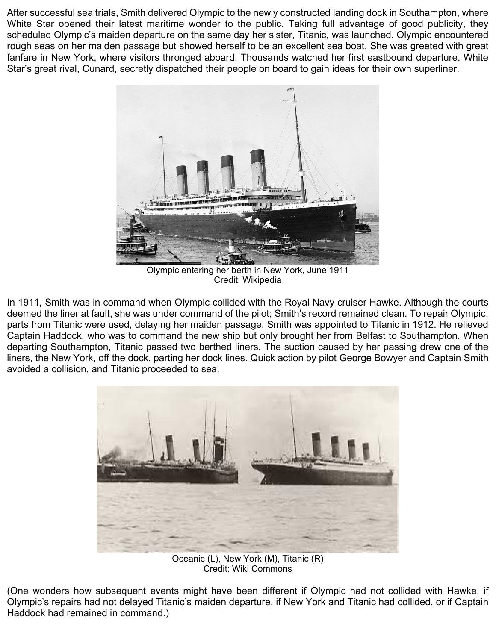After successful sea trials, Smith delivered Olympic to the newly constructed landing dock in Southampton, where White Star opened their latest maritime wonder to the public. Taking full advantage of good publicity, they scheduled Olympic's maiden departure on the same day her sister, Titanic, was launched. Olympic encountered rough seas on her maiden passage but showed herself to be an excellent sea boat. She was greeted with great fanfare in New York, where visitors thronged aboard. Thousands watched her first eastbound departure. White Star's great rival, Cunard, secretly dispatched their people on board to gain ideas for their own superliner.



Olympic entering her berth in New York, June 1911 Credit: Wikipedia

In 1911, Smith was in command when Olympic collided with the Royal Navy cruiser Hawke. Although the courts deemed the liner at fault, she was under command of the pilot; Smith's record remained clean. To repair Olympic, parts from Titanic were used, delaying her maiden passage. Smith was appointed to Titanic in 1912. He relieved Captain Haddock, who was to command the new ship but only brought her from Belfast to Southampton. When departing Southampton, Titanic passed two berthed liners. The suction caused by her passing drew one of the liners, the New York, off the dock, parting her dock lines. Quick action by pilot George Bowyer and Captain Smith avoided a collision, and Titanic proceeded to sea.



Oceanic (L), New York (M), Titanic (R) Credit: Wiki Commons

(One wonders how subsequent events might have been different if Olympic had not collided with Hawke, if Olympic's repairs had not delayed Titanic's maiden departure, if New York and Titanic had collided, or if Captain Haddock had remained in command.)